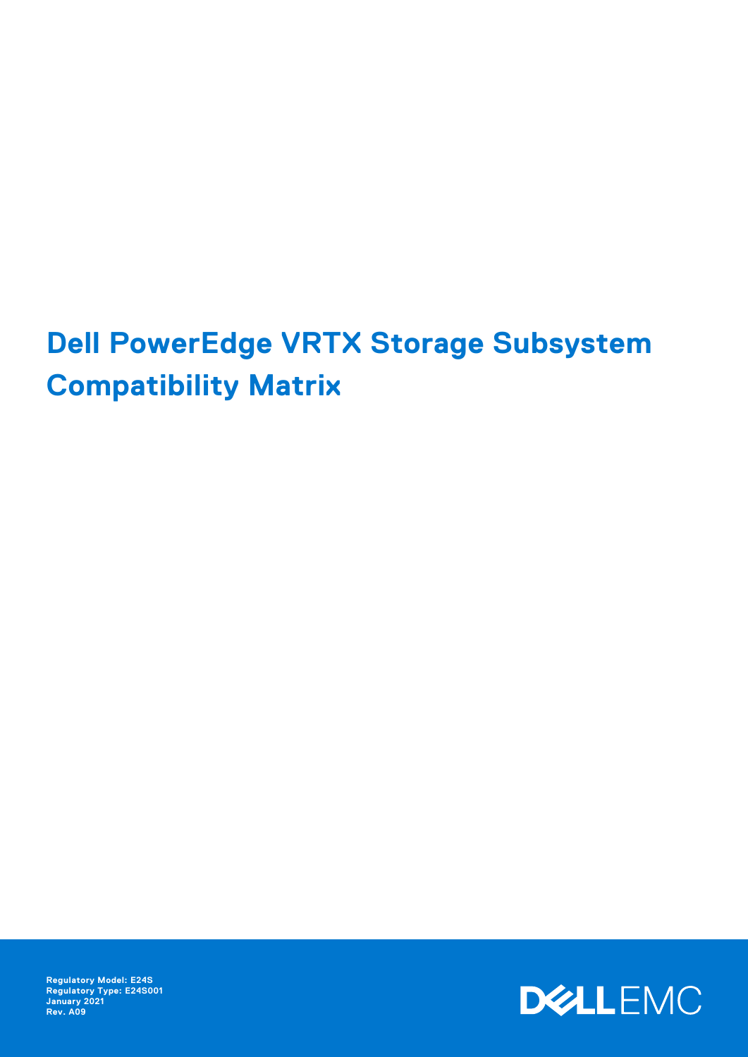# **Dell PowerEdge VRTX Storage Subsystem Compatibility Matrix**

**Regulatory Model: E24S Regulatory Type: E24S001 January 2021 Rev. A09**

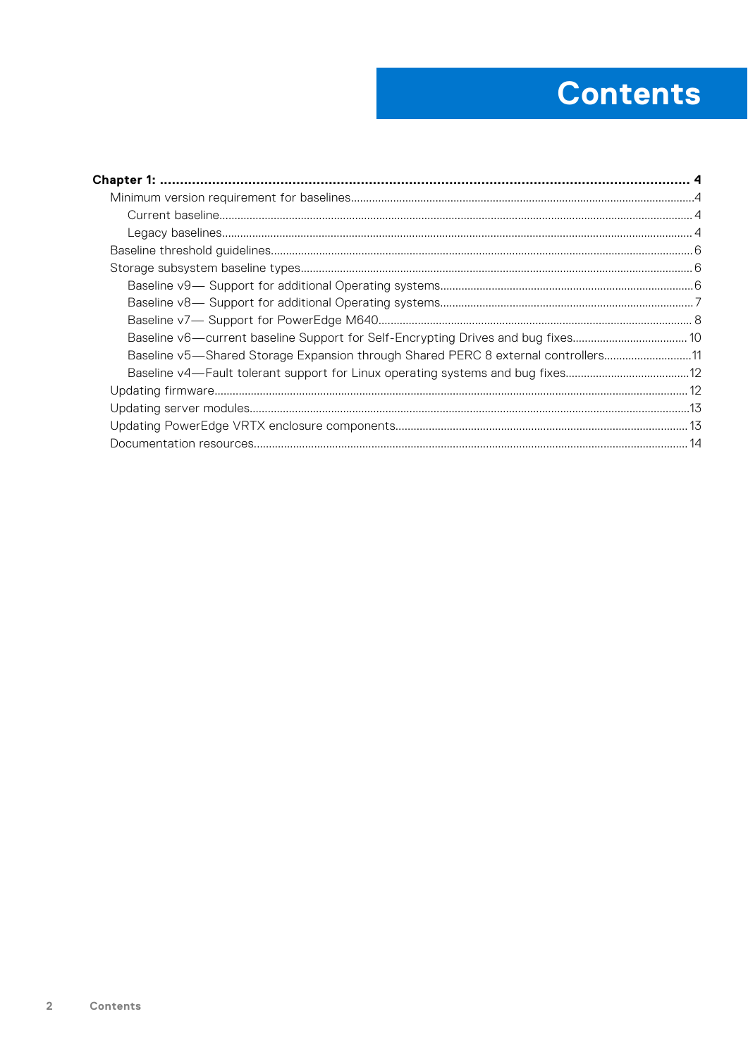# **Contents**

| Baseline v5-Shared Storage Expansion through Shared PERC 8 external controllers11 |  |
|-----------------------------------------------------------------------------------|--|
|                                                                                   |  |
|                                                                                   |  |
|                                                                                   |  |
|                                                                                   |  |
|                                                                                   |  |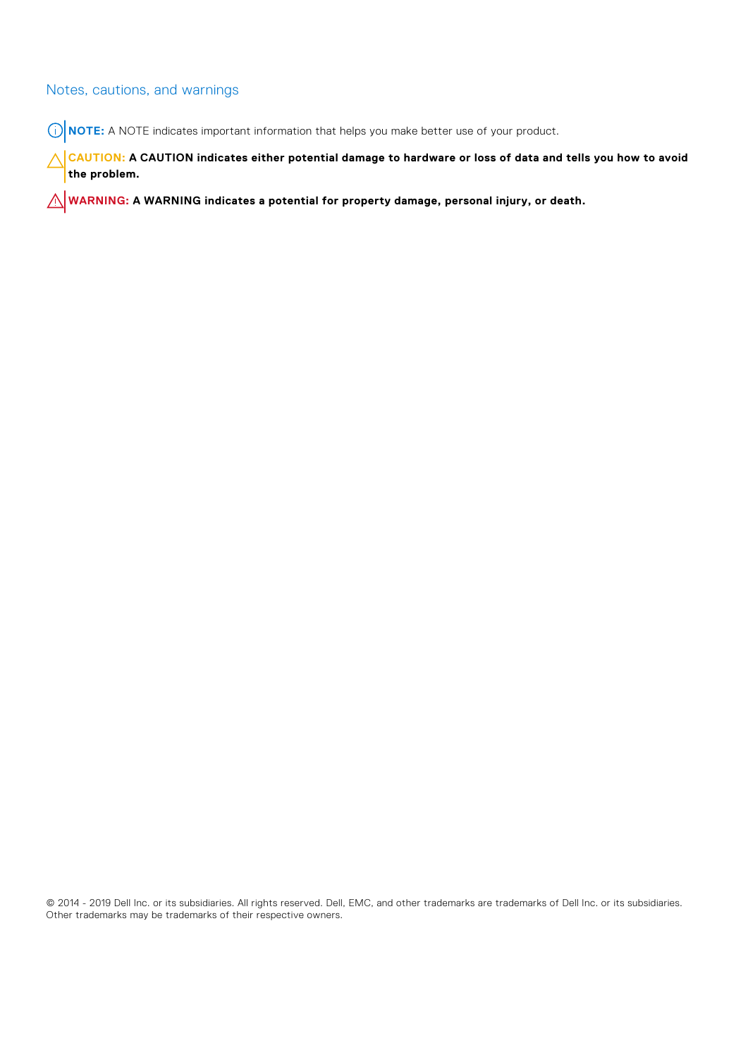#### Notes, cautions, and warnings

**NOTE:** A NOTE indicates important information that helps you make better use of your product.

**CAUTION: A CAUTION indicates either potential damage to hardware or loss of data and tells you how to avoid the problem.**

**WARNING: A WARNING indicates a potential for property damage, personal injury, or death.**

© 2014 - 2019 Dell Inc. or its subsidiaries. All rights reserved. Dell, EMC, and other trademarks are trademarks of Dell Inc. or its subsidiaries. Other trademarks may be trademarks of their respective owners.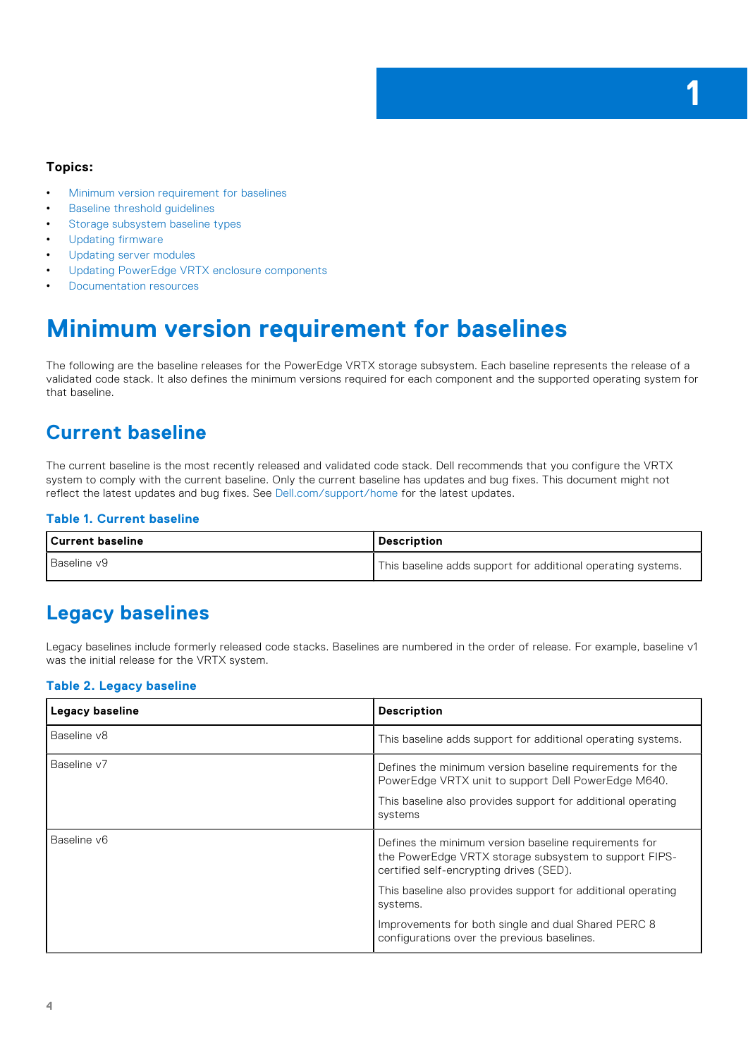**1**

#### <span id="page-3-0"></span>**Topics:**

- Minimum version requirement for baselines
- **Baseline threshold quidelines**
- [Storage subsystem baseline types](#page-5-0)
- [Updating firmware](#page-11-0)
- [Updating server modules](#page-12-0)
- [Updating PowerEdge VRTX enclosure components](#page-12-0)
- [Documentation resources](#page-13-0)

## **Minimum version requirement for baselines**

The following are the baseline releases for the PowerEdge VRTX storage subsystem. Each baseline represents the release of a validated code stack. It also defines the minimum versions required for each component and the supported operating system for that baseline.

### **Current baseline**

The current baseline is the most recently released and validated code stack. Dell recommends that you configure the VRTX system to comply with the current baseline. Only the current baseline has updates and bug fixes. This document might not reflect the latest updates and bug fixes. See [Dell.com/support/home](HTTP://WWW.DELL.COM/SUPPORT/HOME/US/EN/19) for the latest updates.

#### **Table 1. Current baseline**

| Current baseline   | <b>Description</b>                                           |
|--------------------|--------------------------------------------------------------|
| <b>Baseline v9</b> | This baseline adds support for additional operating systems. |

### **Legacy baselines**

Legacy baselines include formerly released code stacks. Baselines are numbered in the order of release. For example, baseline v1 was the initial release for the VRTX system.

#### **Table 2. Legacy baseline**

| Legacy baseline | <b>Description</b>                                                                                                                                                                          |
|-----------------|---------------------------------------------------------------------------------------------------------------------------------------------------------------------------------------------|
| Baseline v8     | This baseline adds support for additional operating systems.                                                                                                                                |
| Baseline v7     | Defines the minimum version baseline requirements for the<br>PowerEdge VRTX unit to support Dell PowerEdge M640.<br>This baseline also provides support for additional operating<br>systems |
| Baseline v6     | Defines the minimum version baseline requirements for<br>the PowerEdge VRTX storage subsystem to support FIPS-<br>certified self-encrypting drives (SED).                                   |
|                 | This baseline also provides support for additional operating<br>systems.                                                                                                                    |
|                 | Improvements for both single and dual Shared PERC 8<br>configurations over the previous baselines.                                                                                          |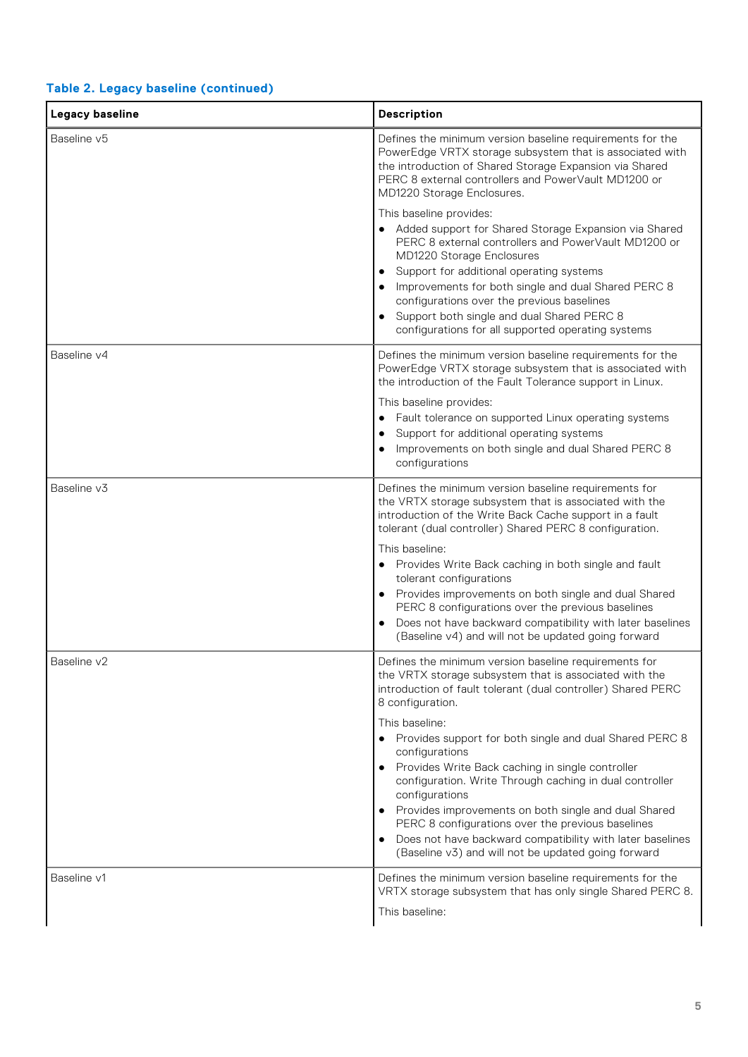#### **Table 2. Legacy baseline (continued)**

| Legacy baseline | <b>Description</b>                                                                                                                                                                                                                                                                                                                                                                                                                                                                                                                                                                                                                                                                             |
|-----------------|------------------------------------------------------------------------------------------------------------------------------------------------------------------------------------------------------------------------------------------------------------------------------------------------------------------------------------------------------------------------------------------------------------------------------------------------------------------------------------------------------------------------------------------------------------------------------------------------------------------------------------------------------------------------------------------------|
| Baseline v5     | Defines the minimum version baseline requirements for the<br>PowerEdge VRTX storage subsystem that is associated with<br>the introduction of Shared Storage Expansion via Shared<br>PERC 8 external controllers and PowerVault MD1200 or<br>MD1220 Storage Enclosures.                                                                                                                                                                                                                                                                                                                                                                                                                         |
|                 | This baseline provides:<br>• Added support for Shared Storage Expansion via Shared<br>PERC 8 external controllers and PowerVault MD1200 or<br>MD1220 Storage Enclosures<br>Support for additional operating systems<br>$\bullet$<br>Improvements for both single and dual Shared PERC 8<br>$\bullet$<br>configurations over the previous baselines<br>Support both single and dual Shared PERC 8<br>$\bullet$<br>configurations for all supported operating systems                                                                                                                                                                                                                            |
| Baseline v4     | Defines the minimum version baseline requirements for the<br>PowerEdge VRTX storage subsystem that is associated with<br>the introduction of the Fault Tolerance support in Linux.<br>This baseline provides:<br>Fault tolerance on supported Linux operating systems<br>Support for additional operating systems<br>٠<br>Improvements on both single and dual Shared PERC 8<br>configurations                                                                                                                                                                                                                                                                                                 |
| Baseline v3     | Defines the minimum version baseline requirements for<br>the VRTX storage subsystem that is associated with the<br>introduction of the Write Back Cache support in a fault<br>tolerant (dual controller) Shared PERC 8 configuration.<br>This baseline:<br>Provides Write Back caching in both single and fault<br>$\bullet$<br>tolerant configurations<br>Provides improvements on both single and dual Shared<br>$\bullet$<br>PERC 8 configurations over the previous baselines<br>Does not have backward compatibility with later baselines<br>(Baseline v4) and will not be updated going forward                                                                                          |
| Baseline v2     | Defines the minimum version baseline requirements for<br>the VRTX storage subsystem that is associated with the<br>introduction of fault tolerant (dual controller) Shared PERC<br>8 configuration.<br>This baseline:<br>Provides support for both single and dual Shared PERC 8<br>$\bullet$<br>configurations<br>Provides Write Back caching in single controller<br>$\bullet$<br>configuration. Write Through caching in dual controller<br>configurations<br>Provides improvements on both single and dual Shared<br>PERC 8 configurations over the previous baselines<br>Does not have backward compatibility with later baselines<br>(Baseline v3) and will not be updated going forward |
| Baseline v1     | Defines the minimum version baseline requirements for the<br>VRTX storage subsystem that has only single Shared PERC 8.<br>This baseline:                                                                                                                                                                                                                                                                                                                                                                                                                                                                                                                                                      |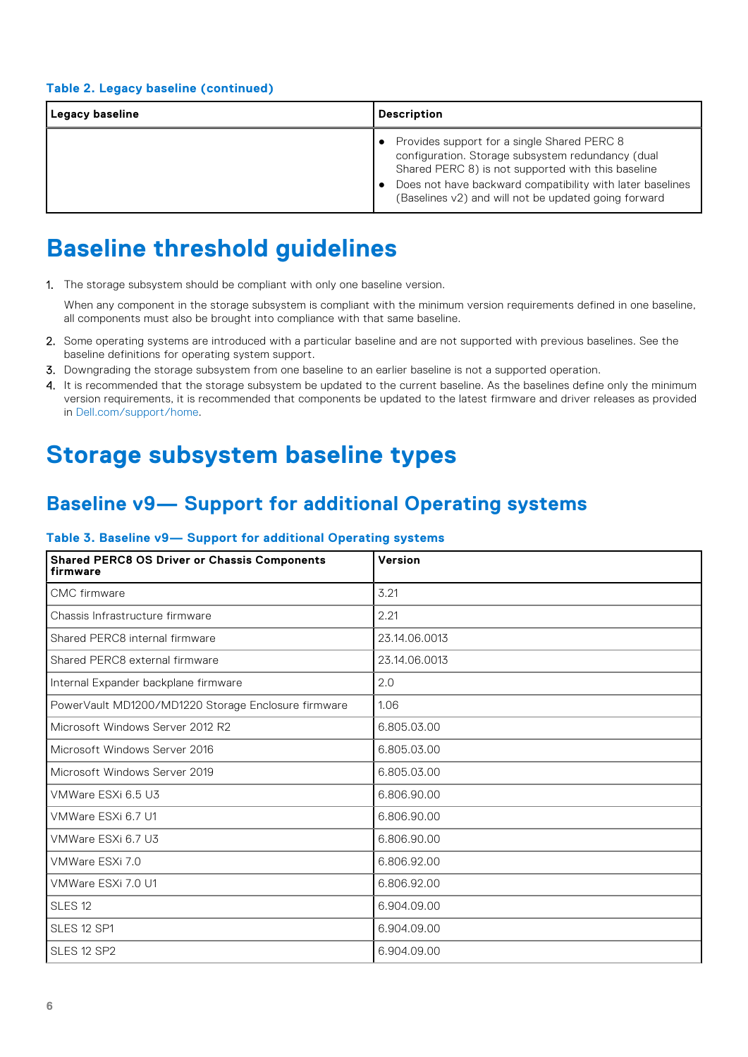<span id="page-5-0"></span>

| Legacy baseline | <b>Description</b>                                                                                                                                                                                                                                                          |
|-----------------|-----------------------------------------------------------------------------------------------------------------------------------------------------------------------------------------------------------------------------------------------------------------------------|
|                 | Provides support for a single Shared PERC 8<br>configuration. Storage subsystem redundancy (dual<br>Shared PERC 8) is not supported with this baseline<br>Does not have backward compatibility with later baselines<br>(Baselines v2) and will not be updated going forward |

## **Baseline threshold guidelines**

1. The storage subsystem should be compliant with only one baseline version.

When any component in the storage subsystem is compliant with the minimum version requirements defined in one baseline, all components must also be brought into compliance with that same baseline.

- 2. Some operating systems are introduced with a particular baseline and are not supported with previous baselines. See the baseline definitions for operating system support.
- 3. Downgrading the storage subsystem from one baseline to an earlier baseline is not a supported operation.
- 4. It is recommended that the storage subsystem be updated to the current baseline. As the baselines define only the minimum version requirements, it is recommended that components be updated to the latest firmware and driver releases as provided in [Dell.com/support/home](http://www.dell.com/support/home/us/en/19).

## **Storage subsystem baseline types**

### **Baseline v9— Support for additional Operating systems**

#### **Table 3. Baseline v9— Support for additional Operating systems**

| <b>Shared PERC8 OS Driver or Chassis Components</b><br>firmware | Version       |
|-----------------------------------------------------------------|---------------|
| CMC firmware                                                    | 3.21          |
| Chassis Infrastructure firmware                                 | 2.21          |
| Shared PERC8 internal firmware                                  | 23.14.06.0013 |
| Shared PERC8 external firmware                                  | 23.14.06.0013 |
| Internal Expander backplane firmware                            | 2.0           |
| PowerVault MD1200/MD1220 Storage Enclosure firmware             | 1.06          |
| Microsoft Windows Server 2012 R2                                | 6.805.03.00   |
| Microsoft Windows Server 2016                                   | 6.805.03.00   |
| Microsoft Windows Server 2019                                   | 6.805.03.00   |
| VMWare ESXi 6.5 U3                                              | 6.806.90.00   |
| VMWare ESXi 6.7 U1                                              | 6.806.90.00   |
| VMWare ESXi 6.7 U3                                              | 6.806.90.00   |
| VMWare ESXi 7.0                                                 | 6.806.92.00   |
| VMWare ESXi 7.0 U1                                              | 6.806.92.00   |
| SLES <sub>12</sub>                                              | 6.904.09.00   |
| SLES 12 SP1                                                     | 6.904.09.00   |
| SLES 12 SP2                                                     | 6.904.09.00   |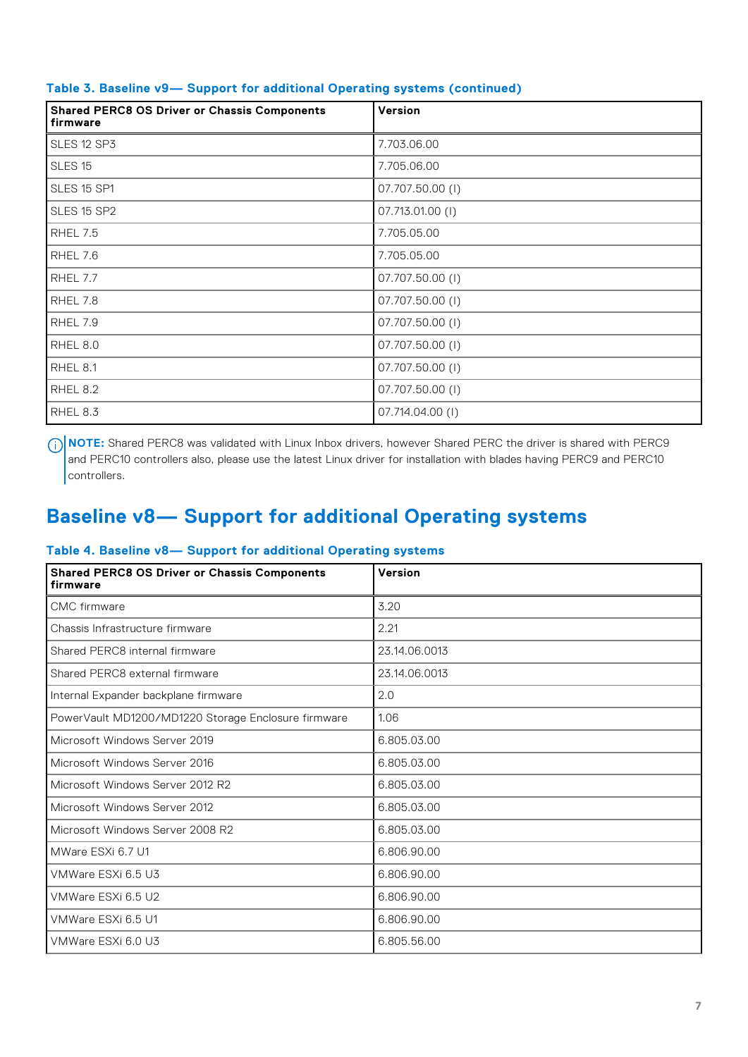| <b>Shared PERC8 OS Driver or Chassis Components</b><br>firmware | Version          |
|-----------------------------------------------------------------|------------------|
| SLES 12 SP3                                                     | 7.703.06.00      |
| SLES <sub>15</sub>                                              | 7.705.06.00      |
| SLES 15 SP1                                                     | 07.707.50.00 (1) |
| SLES 15 SP2                                                     | 07.713.01.00 (1) |
| <b>RHEL 7.5</b>                                                 | 7.705.05.00      |
| RHEL 7.6                                                        | 7.705.05.00      |
| RHEL 7.7                                                        | 07.707.50.00 (1) |
| RHEL 7.8                                                        | 07.707.50.00 (I) |
| RHEL 7.9                                                        | 07.707.50.00 (I) |
| RHEL 8.0                                                        | 07.707.50.00 (I) |
| RHEL 8.1                                                        | 07.707.50.00 (1) |
| RHEL 8.2                                                        | 07.707.50.00 (I) |
| RHEL 8.3                                                        | 07.714.04.00 (I) |

#### <span id="page-6-0"></span>**Table 3. Baseline v9— Support for additional Operating systems (continued)**

**NOTE:** Shared PERC8 was validated with Linux Inbox drivers, however Shared PERC the driver is shared with PERC9 and PERC10 controllers also, please use the latest Linux driver for installation with blades having PERC9 and PERC10 controllers.

## **Baseline v8— Support for additional Operating systems**

#### **Table 4. Baseline v8— Support for additional Operating systems**

| <b>Shared PERC8 OS Driver or Chassis Components</b><br>firmware | Version       |
|-----------------------------------------------------------------|---------------|
| CMC firmware                                                    | 3.20          |
| Chassis Infrastructure firmware                                 | 2.21          |
| Shared PERC8 internal firmware                                  | 23.14.06.0013 |
| Shared PERC8 external firmware                                  | 23.14.06.0013 |
| Internal Expander backplane firmware                            | 2.0           |
| PowerVault MD1200/MD1220 Storage Enclosure firmware             | 1.06          |
| Microsoft Windows Server 2019                                   | 6.805.03.00   |
| Microsoft Windows Server 2016                                   | 6.805.03.00   |
| Microsoft Windows Server 2012 R2                                | 6.805.03.00   |
| Microsoft Windows Server 2012                                   | 6.805.03.00   |
| Microsoft Windows Server 2008 R2                                | 6.805.03.00   |
| MWare ESXi 6.7 U1                                               | 6.806.90.00   |
| VMWare ESXi 6.5 U3                                              | 6.806.90.00   |
| VMWare ESXi 6.5 U2                                              | 6.806.90.00   |
| VMWare ESXi 6.5 U1                                              | 6.806.90.00   |
| VMWare ESXi 6.0 U3                                              | 6.805.56.00   |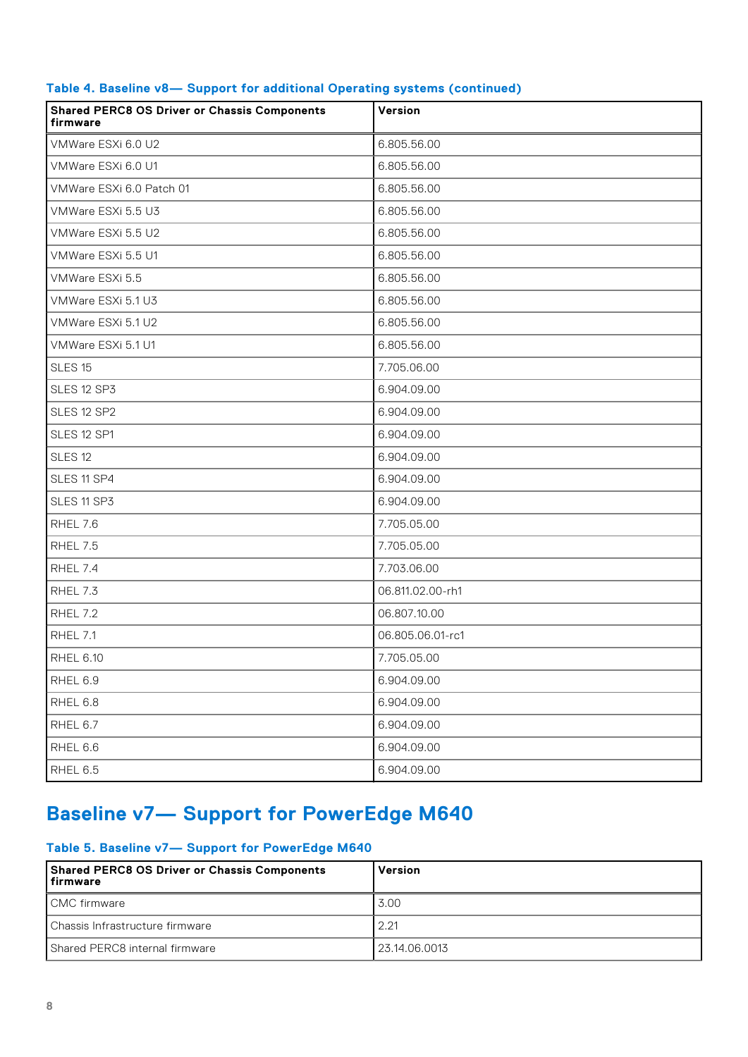| <b>Shared PERC8 OS Driver or Chassis Components</b><br>firmware | Version          |
|-----------------------------------------------------------------|------------------|
| VMWare ESXi 6.0 U2                                              | 6.805.56.00      |
| VMWare ESXi 6.0 U1                                              | 6.805.56.00      |
| VMWare ESXi 6.0 Patch 01                                        | 6.805.56.00      |
| VMWare ESXi 5.5 U3                                              | 6.805.56.00      |
| VMWare ESXi 5.5 U2                                              | 6.805.56.00      |
| VMWare ESXi 5.5 U1                                              | 6.805.56.00      |
| VMWare ESXi 5.5                                                 | 6.805.56.00      |
| VMWare ESXi 5.1 U3                                              | 6.805.56.00      |
| VMWare ESXi 5.1 U2                                              | 6.805.56.00      |
| VMWare ESXi 5.1 U1                                              | 6.805.56.00      |
| <b>SLES 15</b>                                                  | 7.705.06.00      |
| SLES 12 SP3                                                     | 6.904.09.00      |
| SLES 12 SP2                                                     | 6.904.09.00      |
| SLES 12 SP1                                                     | 6.904.09.00      |
| <b>SLES 12</b>                                                  | 6.904.09.00      |
| SLES 11 SP4                                                     | 6.904.09.00      |
| SLES 11 SP3                                                     | 6.904.09.00      |
| RHEL 7.6                                                        | 7.705.05.00      |
| <b>RHEL 7.5</b>                                                 | 7.705.05.00      |
| RHEL 7.4                                                        | 7.703.06.00      |
| RHEL 7.3                                                        | 06.811.02.00-rh1 |
| <b>RHEL 7.2</b>                                                 | 06.807.10.00     |
| RHEL 7.1                                                        | 06.805.06.01-rc1 |
| <b>RHEL 6.10</b>                                                | 7.705.05.00      |
| RHEL 6.9                                                        | 6.904.09.00      |
| RHEL 6.8                                                        | 6.904.09.00      |
| RHEL 6.7                                                        | 6.904.09.00      |
| RHEL 6.6                                                        | 6.904.09.00      |
| RHEL 6.5                                                        | 6.904.09.00      |

#### <span id="page-7-0"></span>**Table 4. Baseline v8— Support for additional Operating systems (continued)**

## **Baseline v7— Support for PowerEdge M640**

#### **Table 5. Baseline v7— Support for PowerEdge M640**

| Shared PERC8 OS Driver or Chassis Components<br>  firmware | Version       |
|------------------------------------------------------------|---------------|
| CMC firmware                                               | 3.00          |
| Chassis Infrastructure firmware                            | 2.21          |
| Shared PERC8 internal firmware                             | 23.14.06.0013 |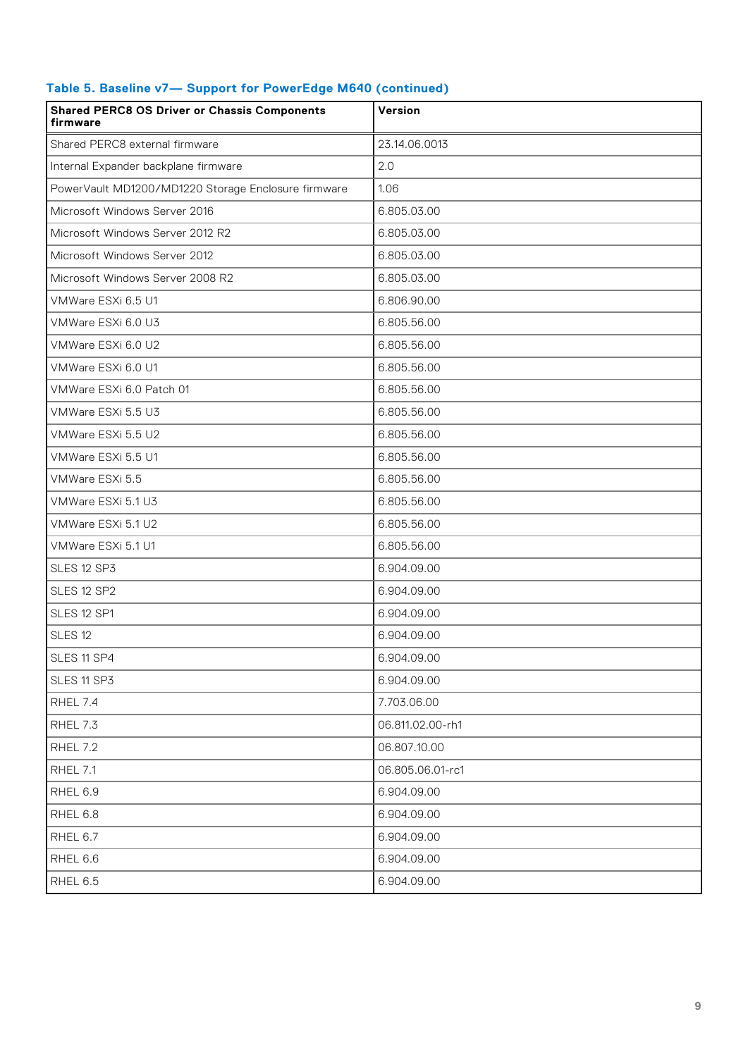| <b>Shared PERC8 OS Driver or Chassis Components</b><br>firmware | Version          |
|-----------------------------------------------------------------|------------------|
| Shared PERC8 external firmware                                  | 23.14.06.0013    |
| Internal Expander backplane firmware                            | 2.0              |
| PowerVault MD1200/MD1220 Storage Enclosure firmware             | 1.06             |
| Microsoft Windows Server 2016                                   | 6.805.03.00      |
| Microsoft Windows Server 2012 R2                                | 6.805.03.00      |
| Microsoft Windows Server 2012                                   | 6.805.03.00      |
| Microsoft Windows Server 2008 R2                                | 6.805.03.00      |
| VMWare ESXi 6.5 U1                                              | 6.806.90.00      |
| VMWare ESXi 6.0 U3                                              | 6.805.56.00      |
| VMWare ESXi 6.0 U2                                              | 6.805.56.00      |
| VMWare ESXi 6.0 U1                                              | 6.805.56.00      |
| VMWare ESXi 6.0 Patch 01                                        | 6.805.56.00      |
| VMWare ESXi 5.5 U3                                              | 6.805.56.00      |
| VMWare ESXi 5.5 U2                                              | 6.805.56.00      |
| VMWare ESXi 5.5 U1                                              | 6.805.56.00      |
| VMWare ESXi 5.5                                                 | 6.805.56.00      |
| VMWare ESXi 5.1 U3                                              | 6.805.56.00      |
| VMWare ESXi 5.1 U2                                              | 6.805.56.00      |
| VMWare ESXi 5.1 U1                                              | 6.805.56.00      |
| SLES 12 SP3                                                     | 6.904.09.00      |
| SLES 12 SP2                                                     | 6.904.09.00      |
| SLES 12 SP1                                                     | 6.904.09.00      |
| SLES <sub>12</sub>                                              | 6.904.09.00      |
| SLES 11 SP4                                                     | 6.904.09.00      |
| SLES 11 SP3                                                     | 6.904.09.00      |
| RHEL 7.4                                                        | 7.703.06.00      |
| RHEL 7.3                                                        | 06.811.02.00-rh1 |
| <b>RHEL 7.2</b>                                                 | 06.807.10.00     |
| <b>RHEL 7.1</b>                                                 | 06.805.06.01-rc1 |
| RHEL 6.9                                                        | 6.904.09.00      |
| RHEL 6.8                                                        | 6.904.09.00      |
| RHEL 6.7                                                        | 6.904.09.00      |
| RHEL 6.6                                                        | 6.904.09.00      |
| RHEL 6.5                                                        | 6.904.09.00      |

#### **Table 5. Baseline v7— Support for PowerEdge M640 (continued)**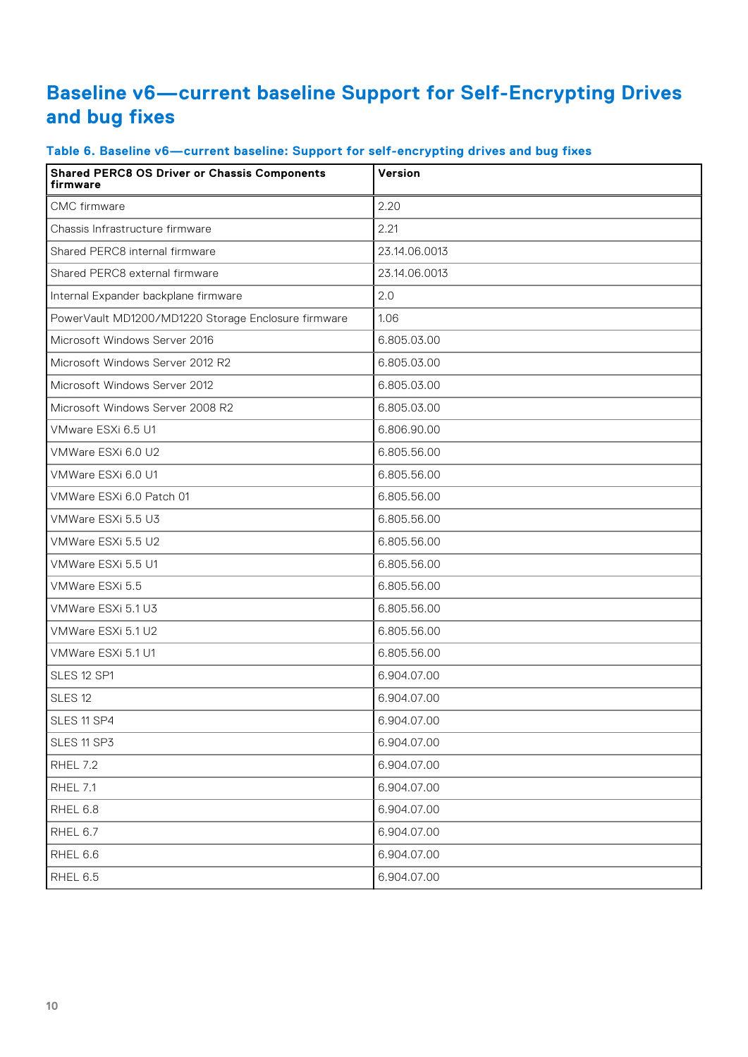### <span id="page-9-0"></span>**Baseline v6—current baseline Support for Self-Encrypting Drives and bug fixes**

| <b>Shared PERC8 OS Driver or Chassis Components</b><br>firmware | Version       |
|-----------------------------------------------------------------|---------------|
| CMC firmware                                                    | 2.20          |
| Chassis Infrastructure firmware                                 | 2.21          |
| Shared PERC8 internal firmware                                  | 23.14.06.0013 |
| Shared PERC8 external firmware                                  | 23.14.06.0013 |
| Internal Expander backplane firmware                            | 2.0           |
| PowerVault MD1200/MD1220 Storage Enclosure firmware             | 1.06          |
| Microsoft Windows Server 2016                                   | 6.805.03.00   |
| Microsoft Windows Server 2012 R2                                | 6.805.03.00   |
| Microsoft Windows Server 2012                                   | 6.805.03.00   |
| Microsoft Windows Server 2008 R2                                | 6.805.03.00   |
| VMware ESXi 6.5 U1                                              | 6.806.90.00   |
| VMWare ESXi 6.0 U2                                              | 6.805.56.00   |
| VMWare ESXi 6.0 U1                                              | 6.805.56.00   |
| VMWare ESXi 6.0 Patch 01                                        | 6.805.56.00   |
| VMWare ESXi 5.5 U3                                              | 6.805.56.00   |
| VMWare ESXi 5.5 U2                                              | 6.805.56.00   |
| VMWare ESXi 5.5 U1                                              | 6.805.56.00   |
| VMWare ESXi 5.5                                                 | 6.805.56.00   |
| VMWare ESXi 5.1 U3                                              | 6.805.56.00   |
| VMWare ESXi 5.1 U2                                              | 6.805.56.00   |
| VMWare ESXi 5.1 U1                                              | 6.805.56.00   |
| SLES 12 SP1                                                     | 6.904.07.00   |
| SLES <sub>12</sub>                                              | 6.904.07.00   |
| SLES 11 SP4                                                     | 6.904.07.00   |
| SLES 11 SP3                                                     | 6.904.07.00   |
| <b>RHEL 7.2</b>                                                 | 6.904.07.00   |
| RHEL 7.1                                                        | 6.904.07.00   |
| RHEL 6.8                                                        | 6.904.07.00   |
| RHEL 6.7                                                        | 6.904.07.00   |
| RHEL 6.6                                                        | 6.904.07.00   |
| RHEL 6.5                                                        | 6.904.07.00   |

#### **Table 6. Baseline v6—current baseline: Support for self-encrypting drives and bug fixes**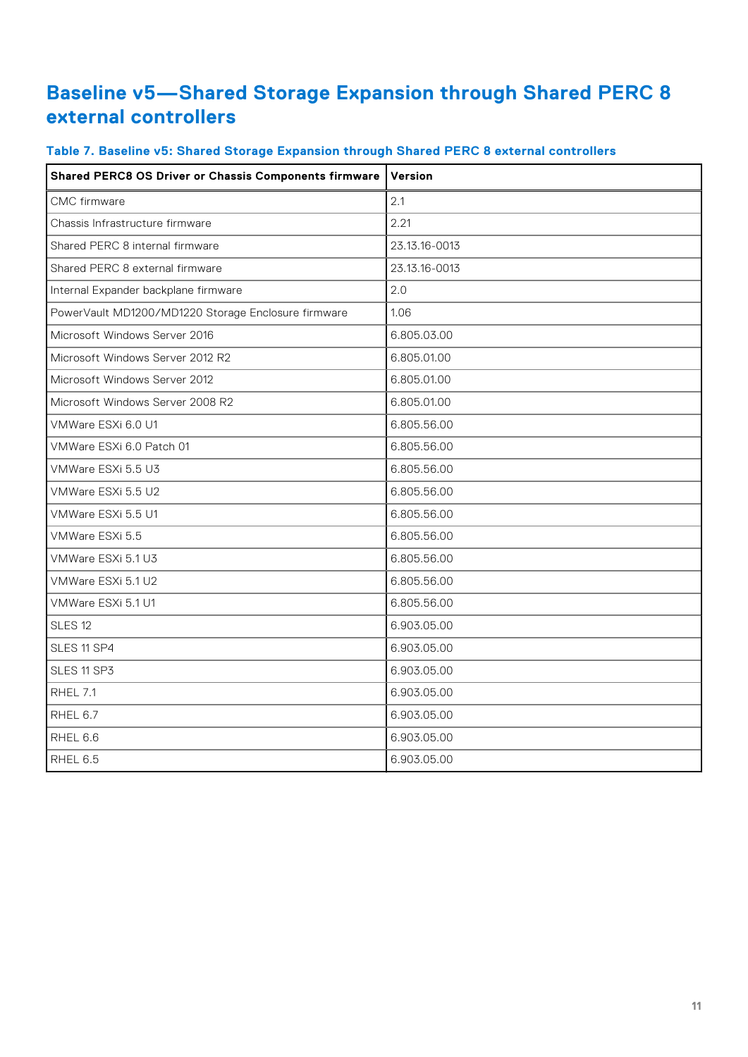### <span id="page-10-0"></span>**Baseline v5—Shared Storage Expansion through Shared PERC 8 external controllers**

| <b>Shared PERC8 OS Driver or Chassis Components firmware</b> | Version       |  |  |  |
|--------------------------------------------------------------|---------------|--|--|--|
| <b>CMC</b> firmware                                          | 2.1           |  |  |  |
| Chassis Infrastructure firmware                              | 2.21          |  |  |  |
| Shared PERC 8 internal firmware                              | 23.13.16-0013 |  |  |  |
| Shared PERC 8 external firmware                              | 23.13.16-0013 |  |  |  |
| Internal Expander backplane firmware                         | 2.0           |  |  |  |
| PowerVault MD1200/MD1220 Storage Enclosure firmware          | 1.06          |  |  |  |
| Microsoft Windows Server 2016                                | 6.805.03.00   |  |  |  |
| Microsoft Windows Server 2012 R2                             | 6.805.01.00   |  |  |  |
| Microsoft Windows Server 2012                                | 6.805.01.00   |  |  |  |
| Microsoft Windows Server 2008 R2                             | 6.805.01.00   |  |  |  |
| VMWare ESXi 6.0 U1                                           | 6.805.56.00   |  |  |  |
| VMWare ESXi 6.0 Patch 01                                     | 6.805.56.00   |  |  |  |
| VMWare ESXi 5.5 U3                                           | 6.805.56.00   |  |  |  |
| VMWare ESXi 5.5 U2                                           | 6.805.56.00   |  |  |  |
| VMWare ESXi 5.5 U1                                           | 6.805.56.00   |  |  |  |
| VMWare ESXi 5.5                                              | 6.805.56.00   |  |  |  |
| VMWare ESXi 5.1 U3                                           | 6.805.56.00   |  |  |  |
| VMWare ESXi 5.1 U2                                           | 6.805.56.00   |  |  |  |
| VMWare ESXi 5.1 U1                                           | 6.805.56.00   |  |  |  |
| SLES <sub>12</sub>                                           | 6.903.05.00   |  |  |  |
| SLES 11 SP4                                                  | 6.903.05.00   |  |  |  |
| SLES 11 SP3                                                  | 6.903.05.00   |  |  |  |
| RHEL 7.1                                                     | 6.903.05.00   |  |  |  |
| RHEL 6.7                                                     | 6.903.05.00   |  |  |  |
| RHEL 6.6                                                     | 6.903.05.00   |  |  |  |
| RHEL 6.5                                                     | 6.903.05.00   |  |  |  |

#### **Table 7. Baseline v5: Shared Storage Expansion through Shared PERC 8 external controllers**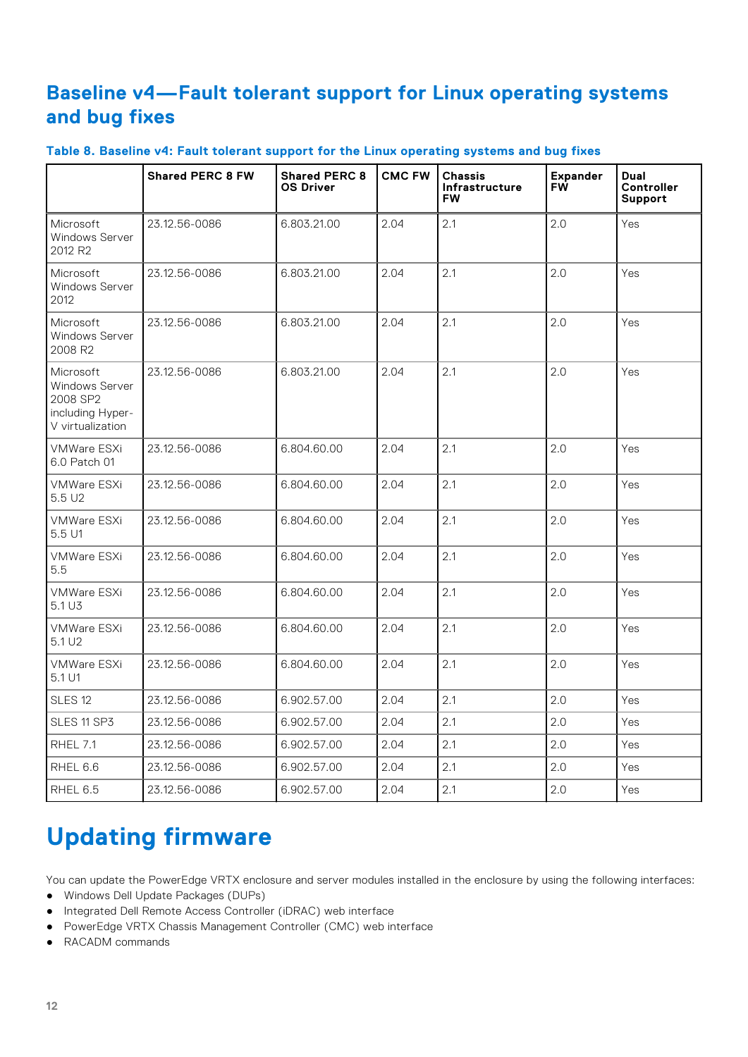### <span id="page-11-0"></span>**Baseline v4—Fault tolerant support for Linux operating systems and bug fixes**

|  | Table 8. Baseline v4: Fault tolerant support for the Linux operating systems and bug fixes |  |  |  |
|--|--------------------------------------------------------------------------------------------|--|--|--|
|  |                                                                                            |  |  |  |

|                                                                                        | <b>Shared PERC 8 FW</b> | <b>Shared PERC 8</b><br><b>OS Driver</b> | <b>CMC FW</b> | <b>Chassis</b><br>Infrastructure<br><b>FW</b> | <b>Expander</b><br>FW | Dual<br>Controller<br>Support |
|----------------------------------------------------------------------------------------|-------------------------|------------------------------------------|---------------|-----------------------------------------------|-----------------------|-------------------------------|
| Microsoft<br>Windows Server<br>2012 R <sub>2</sub>                                     | 23.12.56-0086           | 6.803.21.00                              | 2.04          | 2.1                                           | 2.0                   | Yes                           |
| Microsoft<br><b>Windows Server</b><br>2012                                             | 23.12.56-0086           | 6.803.21.00                              | 2.04          | 2.1                                           | 2.0                   | Yes                           |
| Microsoft<br><b>Windows Server</b><br>2008 R2                                          | 23.12.56-0086           | 6.803.21.00                              | 2.04          | 2.1                                           | 2.0                   | Yes                           |
| Microsoft<br><b>Windows Server</b><br>2008 SP2<br>including Hyper-<br>V virtualization | 23.12.56-0086           | 6.803.21.00                              | 2.04          | 2.1                                           | 2.0                   | Yes                           |
| <b>VMWare ESXi</b><br>6.0 Patch 01                                                     | 23.12.56-0086           | 6.804.60.00                              | 2.04          | 2.1                                           | 2.0                   | Yes                           |
| <b>VMWare ESXi</b><br>5.5U2                                                            | 23.12.56-0086           | 6.804.60.00                              | 2.04          | 2.1                                           | 2.0                   | Yes                           |
| <b>VMWare ESXi</b><br>5.5 U1                                                           | 23.12.56-0086           | 6.804.60.00                              | 2.04          | 2.1                                           | 2.0                   | Yes                           |
| <b>VMWare ESXi</b><br>5.5                                                              | 23.12.56-0086           | 6.804.60.00                              | 2.04          | 2.1                                           | 2.0                   | Yes                           |
| <b>VMWare ESXi</b><br>5.1 U3                                                           | 23.12.56-0086           | 6.804.60.00                              | 2.04          | 2.1                                           | 2.0                   | Yes                           |
| <b>VMWare ESXi</b><br>5.1 U <sub>2</sub>                                               | 23.12.56-0086           | 6.804.60.00                              | 2.04          | 2.1                                           | 2.0                   | Yes                           |
| VMWare ESXi<br>5.1 U1                                                                  | 23.12.56-0086           | 6.804.60.00                              | 2.04          | 2.1                                           | 2.0                   | Yes                           |
| SLES <sub>12</sub>                                                                     | 23.12.56-0086           | 6.902.57.00                              | 2.04          | 2.1                                           | 2.0                   | Yes                           |
| SLES 11 SP3                                                                            | 23.12.56-0086           | 6.902.57.00                              | 2.04          | 2.1                                           | 2.0                   | Yes                           |
| <b>RHEL 7.1</b>                                                                        | 23.12.56-0086           | 6.902.57.00                              | 2.04          | 2.1                                           | 2.0                   | Yes                           |
| RHEL 6.6                                                                               | 23.12.56-0086           | 6.902.57.00                              | 2.04          | 2.1                                           | 2.0                   | Yes                           |
| RHEL 6.5                                                                               | 23.12.56-0086           | 6.902.57.00                              | 2.04          | 2.1                                           | 2.0                   | Yes                           |

## **Updating firmware**

You can update the PowerEdge VRTX enclosure and server modules installed in the enclosure by using the following interfaces:

- Windows Dell Update Packages (DUPs)
- Integrated Dell Remote Access Controller (iDRAC) web interface
- PowerEdge VRTX Chassis Management Controller (CMC) web interface
- RACADM commands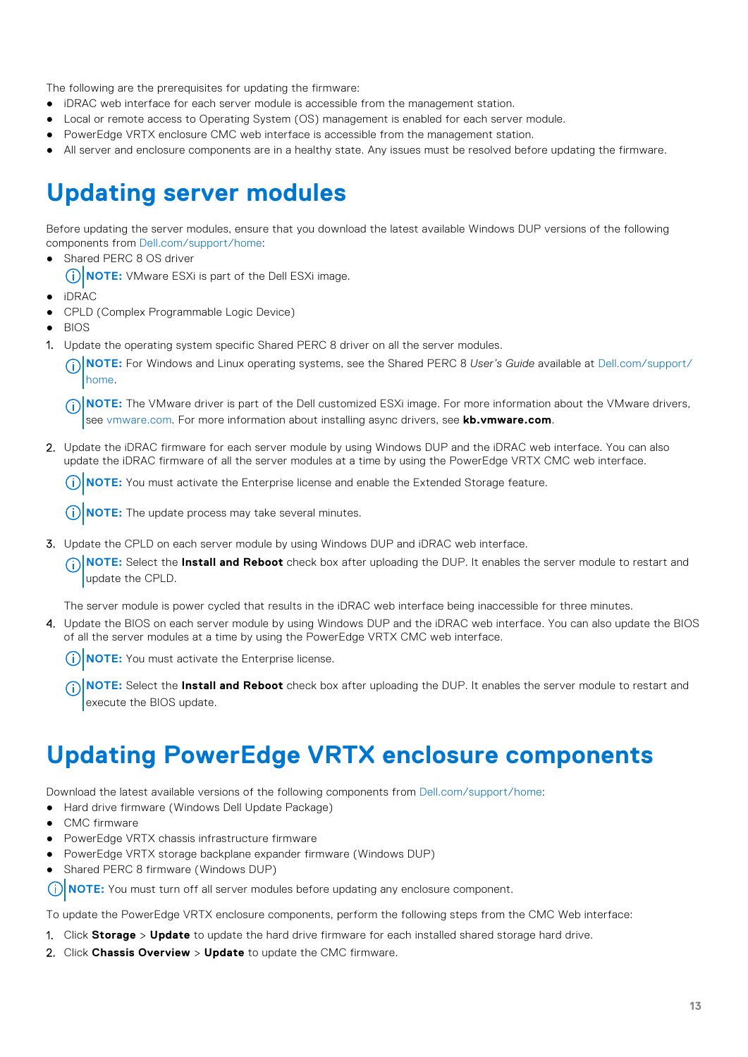<span id="page-12-0"></span>The following are the prerequisites for updating the firmware:

- iDRAC web interface for each server module is accessible from the management station.
- Local or remote access to Operating System (OS) management is enabled for each server module.
- PowerEdge VRTX enclosure CMC web interface is accessible from the management station.
- All server and enclosure components are in a healthy state. Any issues must be resolved before updating the firmware.

## **Updating server modules**

Before updating the server modules, ensure that you download the latest available Windows DUP versions of the following components from [Dell.com/support/home:](HTTP://WWW.DELL.COM/SUPPORT/HOME/US/EN/19)

- Shared PERC 8 OS driver
	- **NOTE:** VMware ESXi is part of the Dell ESXi image.
- iDRAC
- CPLD (Complex Programmable Logic Device)
- **BIOS**
- Update the operating system specific Shared PERC 8 driver on all the server modules.
	- **NOTE:** For Windows and Linux operating systems, see the Shared PERC 8 *User's Guide* available at [Dell.com/support/](HTTP://WWW.DELL.COM/SUPPORT/HOME/US/EN/19) [home.](HTTP://WWW.DELL.COM/SUPPORT/HOME/US/EN/19)
	- **NOTE:** The VMware driver is part of the Dell customized ESXi image. For more information about the VMware drivers, see [vmware.com.](HTTP://WWW.VMWARE.COM/) For more information about installing async drivers, see **kb.vmware.com**.
- 2. Update the iDRAC firmware for each server module by using Windows DUP and the iDRAC web interface. You can also update the iDRAC firmware of all the server modules at a time by using the PowerEdge VRTX CMC web interface.
	- $(i)$ **NOTE:** You must activate the Enterprise license and enable the Extended Storage feature.
	- **NOTE:** The update process may take several minutes.
- 3. Update the CPLD on each server module by using Windows DUP and iDRAC web interface.
	- **NOTE:** Select the **Install and Reboot** check box after uploading the DUP. It enables the server module to restart and update the CPLD.

The server module is power cycled that results in the iDRAC web interface being inaccessible for three minutes.

4. Update the BIOS on each server module by using Windows DUP and the iDRAC web interface. You can also update the BIOS of all the server modules at a time by using the PowerEdge VRTX CMC web interface.

**NOTE:** You must activate the Enterprise license.  $\circ$ 

**NOTE:** Select the **Install and Reboot** check box after uploading the DUP. It enables the server module to restart and execute the BIOS update.

## **Updating PowerEdge VRTX enclosure components**

Download the latest available versions of the following components from [Dell.com/support/home:](HTTP://WWW.DELL.COM/SUPPORT/HOME/US/EN/19)

- Hard drive firmware (Windows Dell Update Package)
- CMC firmware
- PowerEdge VRTX chassis infrastructure firmware
- PowerEdge VRTX storage backplane expander firmware (Windows DUP)
- Shared PERC 8 firmware (Windows DUP)

**NOTE:** You must turn off all server modules before updating any enclosure component. (i)

To update the PowerEdge VRTX enclosure components, perform the following steps from the CMC Web interface:

- 1. Click **Storage** > **Update** to update the hard drive firmware for each installed shared storage hard drive.
- 2. Click **Chassis Overview** > **Update** to update the CMC firmware.